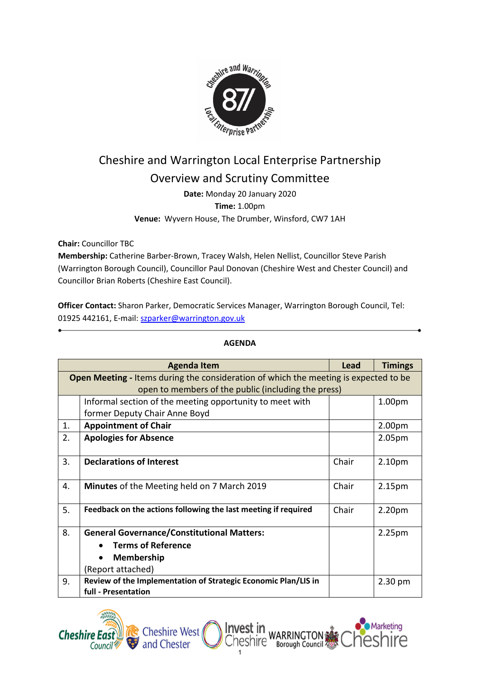

# Cheshire and Warrington Local Enterprise Partnership Overview and Scrutiny Committee

**Date:** Monday 20 January 2020 **Time:** 1.00pm **Venue:** Wyvern House, The Drumber, Winsford, CW7 1AH

**Chair:** Councillor TBC

**Membership:** Catherine Barber-Brown, Tracey Walsh, Helen Nellist, Councillor Steve Parish (Warrington Borough Council), Councillor Paul Donovan (Cheshire West and Chester Council) and Councillor Brian Roberts (Cheshire East Council).

**Officer Contact:** Sharon Parker, Democratic Services Manager, Warrington Borough Council, Tel: 01925 442161, E-mail: [szparker@warrington.gov.uk](mailto:szparker@warrington.gov.uk)

|                                                                                             | <b>Agenda Item</b>                                             | Lead  | <b>Timings</b>     |  |
|---------------------------------------------------------------------------------------------|----------------------------------------------------------------|-------|--------------------|--|
| <b>Open Meeting - Items during the consideration of which the meeting is expected to be</b> |                                                                |       |                    |  |
| open to members of the public (including the press)                                         |                                                                |       |                    |  |
|                                                                                             | Informal section of the meeting opportunity to meet with       |       | 1.00pm             |  |
|                                                                                             | former Deputy Chair Anne Boyd                                  |       |                    |  |
| 1.                                                                                          | <b>Appointment of Chair</b>                                    |       | 2.00 <sub>pm</sub> |  |
| 2.                                                                                          | <b>Apologies for Absence</b>                                   |       | 2.05 <sub>pm</sub> |  |
| 3.                                                                                          | <b>Declarations of Interest</b>                                | Chair |                    |  |
|                                                                                             |                                                                |       | 2.10pm             |  |
| 4.                                                                                          | <b>Minutes</b> of the Meeting held on 7 March 2019             | Chair | 2.15 <sub>pm</sub> |  |
|                                                                                             |                                                                |       |                    |  |
| 5.                                                                                          | Feedback on the actions following the last meeting if required | Chair | 2.20 <sub>pm</sub> |  |
| 8.                                                                                          | <b>General Governance/Constitutional Matters:</b>              |       | 2.25 <sub>pm</sub> |  |
|                                                                                             | <b>Terms of Reference</b>                                      |       |                    |  |
|                                                                                             | <b>Membership</b>                                              |       |                    |  |
|                                                                                             | (Report attached)                                              |       |                    |  |
| 9.                                                                                          | Review of the Implementation of Strategic Economic Plan/LIS in |       | $2.30$ pm          |  |
|                                                                                             | full - Presentation                                            |       |                    |  |

#### **AGENDA**



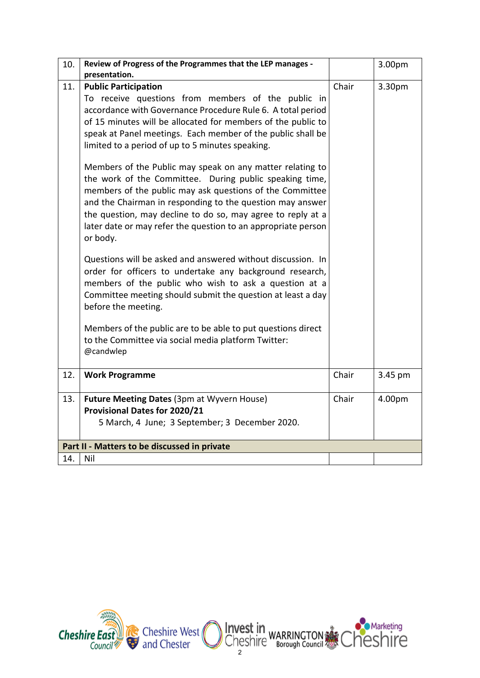| 10.                                          | Review of Progress of the Programmes that the LEP manages -                                                                                                                                                                                                                                                                                                                                                                                                                                                                                                                                                                                                                                                                      |       | 3.00pm  |  |
|----------------------------------------------|----------------------------------------------------------------------------------------------------------------------------------------------------------------------------------------------------------------------------------------------------------------------------------------------------------------------------------------------------------------------------------------------------------------------------------------------------------------------------------------------------------------------------------------------------------------------------------------------------------------------------------------------------------------------------------------------------------------------------------|-------|---------|--|
|                                              | presentation.                                                                                                                                                                                                                                                                                                                                                                                                                                                                                                                                                                                                                                                                                                                    |       |         |  |
| 11.                                          | <b>Public Participation</b><br>To receive questions from members of the public in<br>accordance with Governance Procedure Rule 6. A total period<br>of 15 minutes will be allocated for members of the public to<br>speak at Panel meetings. Each member of the public shall be<br>limited to a period of up to 5 minutes speaking.<br>Members of the Public may speak on any matter relating to<br>the work of the Committee. During public speaking time,<br>members of the public may ask questions of the Committee<br>and the Chairman in responding to the question may answer<br>the question, may decline to do so, may agree to reply at a<br>later date or may refer the question to an appropriate person<br>or body. | Chair | 3.30pm  |  |
|                                              | Questions will be asked and answered without discussion. In<br>order for officers to undertake any background research,<br>members of the public who wish to ask a question at a<br>Committee meeting should submit the question at least a day<br>before the meeting.                                                                                                                                                                                                                                                                                                                                                                                                                                                           |       |         |  |
|                                              | Members of the public are to be able to put questions direct<br>to the Committee via social media platform Twitter:<br>@candwlep                                                                                                                                                                                                                                                                                                                                                                                                                                                                                                                                                                                                 |       |         |  |
| 12.                                          | <b>Work Programme</b>                                                                                                                                                                                                                                                                                                                                                                                                                                                                                                                                                                                                                                                                                                            | Chair | 3.45 pm |  |
| 13.                                          | <b>Future Meeting Dates (3pm at Wyvern House)</b>                                                                                                                                                                                                                                                                                                                                                                                                                                                                                                                                                                                                                                                                                | Chair | 4.00pm  |  |
|                                              | <b>Provisional Dates for 2020/21</b>                                                                                                                                                                                                                                                                                                                                                                                                                                                                                                                                                                                                                                                                                             |       |         |  |
|                                              | 5 March, 4 June; 3 September; 3 December 2020.                                                                                                                                                                                                                                                                                                                                                                                                                                                                                                                                                                                                                                                                                   |       |         |  |
| Part II - Matters to be discussed in private |                                                                                                                                                                                                                                                                                                                                                                                                                                                                                                                                                                                                                                                                                                                                  |       |         |  |
| 14.                                          | Nil                                                                                                                                                                                                                                                                                                                                                                                                                                                                                                                                                                                                                                                                                                                              |       |         |  |
|                                              |                                                                                                                                                                                                                                                                                                                                                                                                                                                                                                                                                                                                                                                                                                                                  |       |         |  |

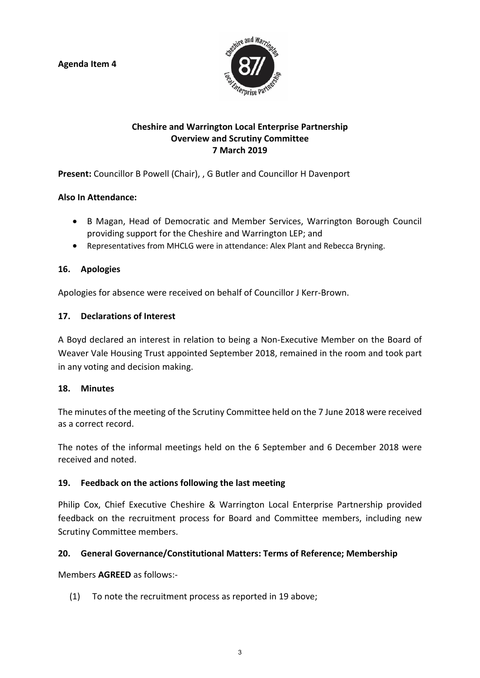**Agenda Item 4** 



# **Cheshire and Warrington Local Enterprise Partnership Overview and Scrutiny Committee 7 March 2019**

**Present:** Councillor B Powell (Chair), , G Butler and Councillor H Davenport

# **Also In Attendance:**

- B Magan, Head of Democratic and Member Services, Warrington Borough Council providing support for the Cheshire and Warrington LEP; and
- Representatives from MHCLG were in attendance: Alex Plant and Rebecca Bryning.

# **16. Apologies**

Apologies for absence were received on behalf of Councillor J Kerr-Brown.

# **17. Declarations of Interest**

A Boyd declared an interest in relation to being a Non-Executive Member on the Board of Weaver Vale Housing Trust appointed September 2018, remained in the room and took part in any voting and decision making.

## **18. Minutes**

The minutes of the meeting of the Scrutiny Committee held on the 7 June 2018 were received as a correct record.

The notes of the informal meetings held on the 6 September and 6 December 2018 were received and noted.

## **19. Feedback on the actions following the last meeting**

Philip Cox, Chief Executive Cheshire & Warrington Local Enterprise Partnership provided feedback on the recruitment process for Board and Committee members, including new Scrutiny Committee members.

## **20. General Governance/Constitutional Matters: Terms of Reference; Membership**

Members **AGREED** as follows:-

(1) To note the recruitment process as reported in 19 above;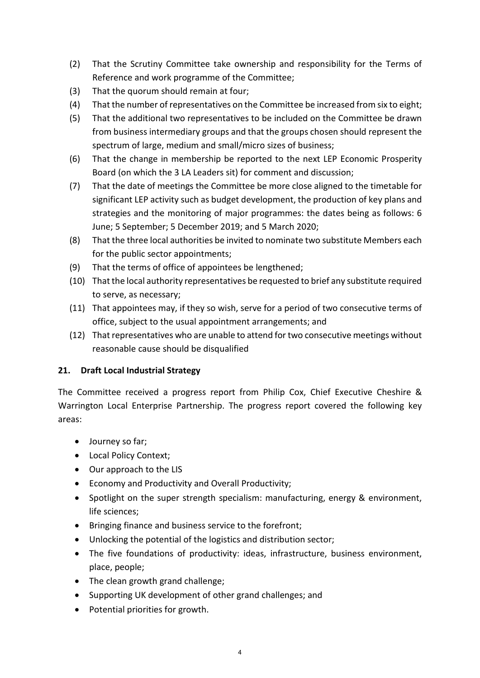- (2) That the Scrutiny Committee take ownership and responsibility for the Terms of Reference and work programme of the Committee;
- (3) That the quorum should remain at four;
- (4) That the number of representatives on the Committee be increased from six to eight;
- (5) That the additional two representatives to be included on the Committee be drawn from business intermediary groups and that the groups chosen should represent the spectrum of large, medium and small/micro sizes of business;
- (6) That the change in membership be reported to the next LEP Economic Prosperity Board (on which the 3 LA Leaders sit) for comment and discussion;
- (7) That the date of meetings the Committee be more close aligned to the timetable for significant LEP activity such as budget development, the production of key plans and strategies and the monitoring of major programmes: the dates being as follows: 6 June; 5 September; 5 December 2019; and 5 March 2020;
- (8) That the three local authorities be invited to nominate two substitute Members each for the public sector appointments;
- (9) That the terms of office of appointees be lengthened;
- (10) That the local authority representatives be requested to brief any substitute required to serve, as necessary;
- (11) That appointees may, if they so wish, serve for a period of two consecutive terms of office, subject to the usual appointment arrangements; and
- (12) That representatives who are unable to attend for two consecutive meetings without reasonable cause should be disqualified

## **21. Draft Local Industrial Strategy**

The Committee received a progress report from Philip Cox, Chief Executive Cheshire & Warrington Local Enterprise Partnership. The progress report covered the following key areas:

- Journey so far;
- Local Policy Context;
- Our approach to the LIS
- Economy and Productivity and Overall Productivity;
- Spotlight on the super strength specialism: manufacturing, energy & environment, life sciences;
- Bringing finance and business service to the forefront;
- Unlocking the potential of the logistics and distribution sector;
- The five foundations of productivity: ideas, infrastructure, business environment, place, people;
- The clean growth grand challenge;
- Supporting UK development of other grand challenges; and
- Potential priorities for growth.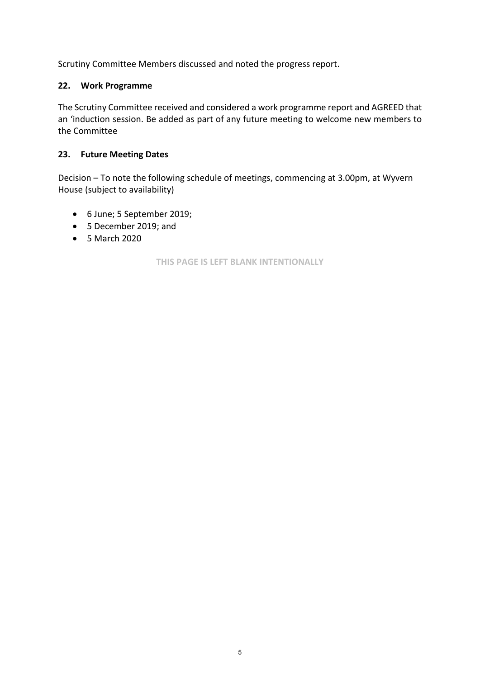Scrutiny Committee Members discussed and noted the progress report.

# **22. Work Programme**

The Scrutiny Committee received and considered a work programme report and AGREED that an 'induction session. Be added as part of any future meeting to welcome new members to the Committee

## **23. Future Meeting Dates**

Decision – To note the following schedule of meetings, commencing at 3.00pm, at Wyvern House (subject to availability)

- 6 June; 5 September 2019;
- 5 December 2019; and
- 5 March 2020

**THIS PAGE IS LEFT BLANK INTENTIONALLY**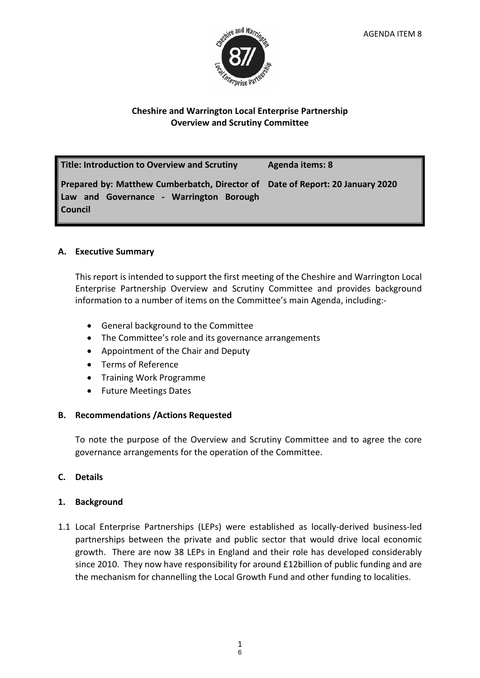

# **Cheshire and Warrington Local Enterprise Partnership Overview and Scrutiny Committee**

**Title: Introduction to Overview and Scrutiny Agenda items: 8 Prepared by: Matthew Cumberbatch, Director of Date of Report: 20 January 2020 Law and Governance - Warrington Borough Council**

## **A. Executive Summary**

This report is intended to support the first meeting of the Cheshire and Warrington Local Enterprise Partnership Overview and Scrutiny Committee and provides background information to a number of items on the Committee's main Agenda, including:-

- General background to the Committee
- The Committee's role and its governance arrangements
- Appointment of the Chair and Deputy
- Terms of Reference
- Training Work Programme
- Future Meetings Dates

## **B. Recommendations /Actions Requested**

To note the purpose of the Overview and Scrutiny Committee and to agree the core governance arrangements for the operation of the Committee.

## **C. Details**

## **1. Background**

1.1 Local Enterprise Partnerships (LEPs) were established as locally-derived business-led partnerships between the private and public sector that would drive local economic growth. There are now 38 LEPs in England and their role has developed considerably since 2010. They now have responsibility for around £12billion of public funding and are the mechanism for channelling the Local Growth Fund and other funding to localities.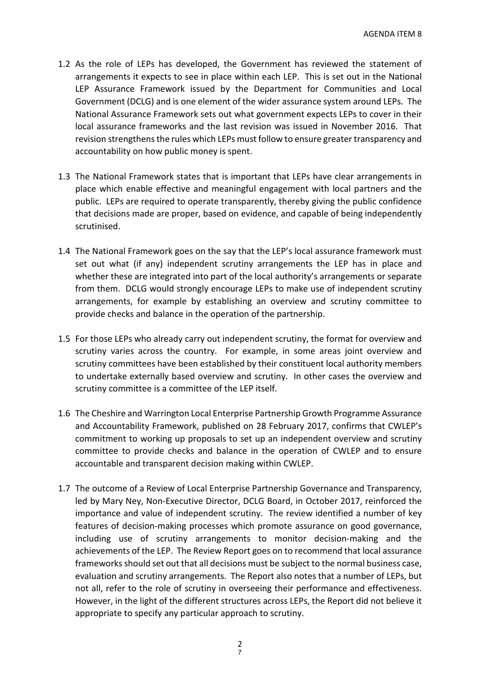- 1.2 As the role of LEPs has developed, the Government has reviewed the statement of arrangements it expects to see in place within each LEP. This is set out in the National LEP Assurance Framework issued by the Department for Communities and Local Government (DCLG) and is one element of the wider assurance system around LEPs. The National Assurance Framework sets out what government expects LEPs to cover in their local assurance frameworks and the last revision was issued in November 2016. That revision strengthens the rules which LEPs must follow to ensure greater transparency and accountability on how public money is spent.
- 1.3 The National Framework states that is important that LEPs have clear arrangements in place which enable effective and meaningful engagement with local partners and the public. LEPs are required to operate transparently, thereby giving the public confidence that decisions made are proper, based on evidence, and capable of being independently scrutinised.
- 1.4 The National Framework goes on the say that the LEP's local assurance framework must set out what (if any) independent scrutiny arrangements the LEP has in place and whether these are integrated into part of the local authority's arrangements or separate from them. DCLG would strongly encourage LEPs to make use of independent scrutiny arrangements, for example by establishing an overview and scrutiny committee to provide checks and balance in the operation of the partnership.
- 1.5 For those LEPs who already carry out independent scrutiny, the format for overview and scrutiny varies across the country. For example, in some areas joint overview and scrutiny committees have been established by their constituent local authority members to undertake externally based overview and scrutiny. In other cases the overview and scrutiny committee is a committee of the LEP itself.
- 1.6 The Cheshire and Warrington Local Enterprise Partnership Growth Programme Assurance and Accountability Framework, published on 28 February 2017, confirms that CWLEP's commitment to working up proposals to set up an independent overview and scrutiny committee to provide checks and balance in the operation of CWLEP and to ensure accountable and transparent decision making within CWLEP.
- 1.7 The outcome of a Review of Local Enterprise Partnership Governance and Transparency, led by Mary Ney, Non-Executive Director, DCLG Board, in October 2017, reinforced the importance and value of independent scrutiny. The review identified a number of key features of decision-making processes which promote assurance on good governance. including use of scrutiny arrangements to monitor decision-making and the achievements of the LEP. The Review Report goes on to recommend that local assurance frameworks should set out that all decisions must be subject to the normal business case, evaluation and scrutiny arrangements. The Report also notes that a number of LEPs, but not all, refer to the role of scrutiny in overseeing their performance and effectiveness. However, in the light of the different structures across LEPs, the Report did not believe it appropriate to specify any particular approach to scrutiny.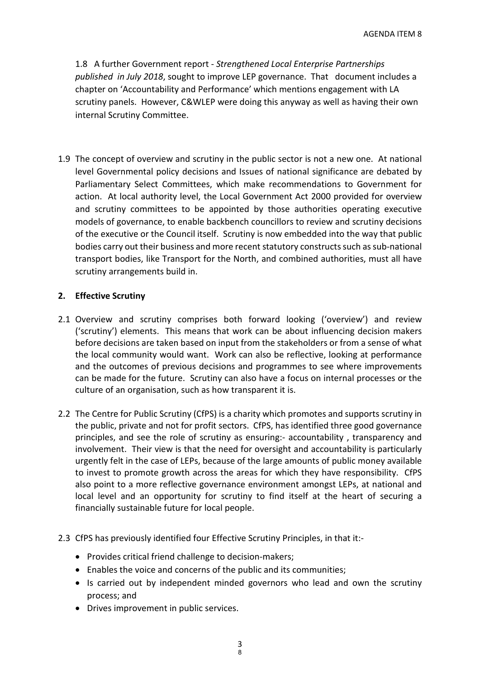1.8 A further Government report - *Strengthened Local Enterprise Partnerships published in July 2018*, sought to improve LEP governance. That document includes a chapter on 'Accountability and Performance' which mentions engagement with LA scrutiny panels. However, C&WLEP were doing this anyway as well as having their own internal Scrutiny Committee.

1.9 The concept of overview and scrutiny in the public sector is not a new one. At national level Governmental policy decisions and Issues of national significance are debated by Parliamentary Select Committees, which make recommendations to Government for action. At local authority level, the Local Government Act 2000 provided for overview and scrutiny committees to be appointed by those authorities operating executive models of governance, to enable backbench councillors to review and scrutiny decisions of the executive or the Council itself. Scrutiny is now embedded into the way that public bodies carry out their business and more recent statutory constructs such as sub-national transport bodies, like Transport for the North, and combined authorities, must all have scrutiny arrangements build in.

#### **2. Effective Scrutiny**

- 2.1 Overview and scrutiny comprises both forward looking ('overview') and review ('scrutiny') elements. This means that work can be about influencing decision makers before decisions are taken based on input from the stakeholders or from a sense of what the local community would want. Work can also be reflective, looking at performance and the outcomes of previous decisions and programmes to see where improvements can be made for the future. Scrutiny can also have a focus on internal processes or the culture of an organisation, such as how transparent it is.
- 2.2 The Centre for Public Scrutiny (CfPS) is a charity which promotes and supports scrutiny in the public, private and not for profit sectors. CfPS, has identified three good governance principles, and see the role of scrutiny as ensuring:- accountability , transparency and involvement. Their view is that the need for oversight and accountability is particularly urgently felt in the case of LEPs, because of the large amounts of public money available to invest to promote growth across the areas for which they have responsibility. CfPS also point to a more reflective governance environment amongst LEPs, at national and local level and an opportunity for scrutiny to find itself at the heart of securing a financially sustainable future for local people.
- 2.3 CfPS has previously identified four Effective Scrutiny Principles, in that it:-
	- Provides critical friend challenge to decision-makers;
	- Enables the voice and concerns of the public and its communities;
	- Is carried out by independent minded governors who lead and own the scrutiny process; and
	- Drives improvement in public services.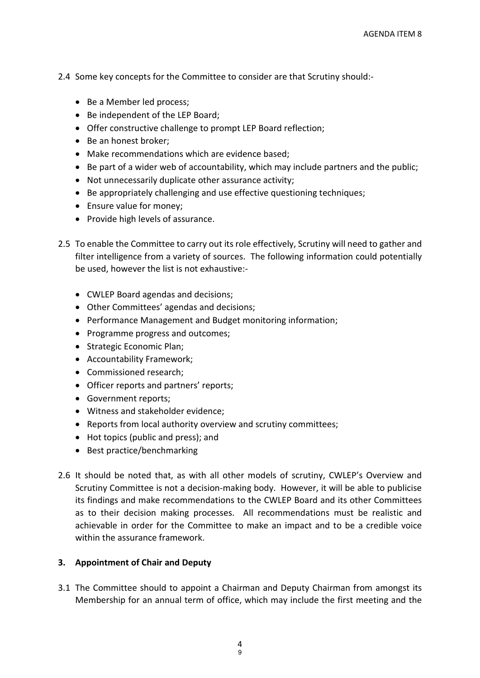- 2.4 Some key concepts for the Committee to consider are that Scrutiny should:-
	- Be a Member led process;
	- Be independent of the LEP Board;
	- Offer constructive challenge to prompt LEP Board reflection;
	- Be an honest broker;
	- Make recommendations which are evidence based;
	- Be part of a wider web of accountability, which may include partners and the public;
	- Not unnecessarily duplicate other assurance activity;
	- Be appropriately challenging and use effective questioning techniques;
	- Ensure value for money;
	- Provide high levels of assurance.
- 2.5 To enable the Committee to carry out its role effectively, Scrutiny will need to gather and filter intelligence from a variety of sources. The following information could potentially be used, however the list is not exhaustive:-
	- CWLEP Board agendas and decisions;
	- Other Committees' agendas and decisions;
	- Performance Management and Budget monitoring information;
	- Programme progress and outcomes;
	- Strategic Economic Plan;
	- Accountability Framework;
	- Commissioned research;
	- Officer reports and partners' reports;
	- Government reports;
	- Witness and stakeholder evidence;
	- Reports from local authority overview and scrutiny committees;
	- Hot topics (public and press); and
	- Best practice/benchmarking
- 2.6 It should be noted that, as with all other models of scrutiny, CWLEP's Overview and Scrutiny Committee is not a decision-making body. However, it will be able to publicise its findings and make recommendations to the CWLEP Board and its other Committees as to their decision making processes. All recommendations must be realistic and achievable in order for the Committee to make an impact and to be a credible voice within the assurance framework.

## **3. Appointment of Chair and Deputy**

3.1 The Committee should to appoint a Chairman and Deputy Chairman from amongst its Membership for an annual term of office, which may include the first meeting and the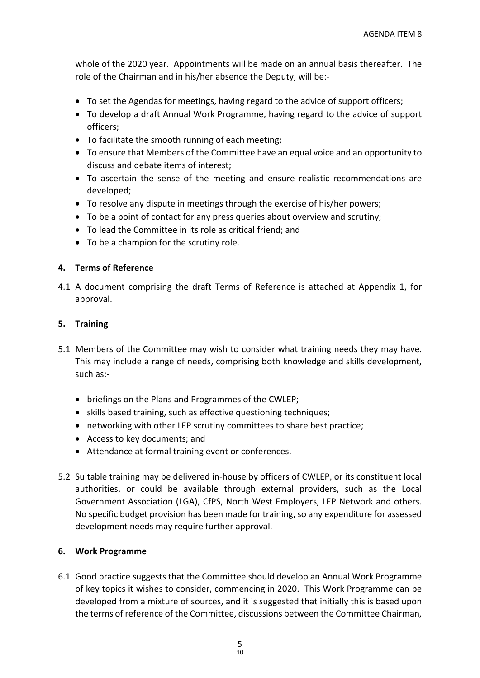whole of the 2020 year. Appointments will be made on an annual basis thereafter. The role of the Chairman and in his/her absence the Deputy, will be:-

- To set the Agendas for meetings, having regard to the advice of support officers;
- To develop a draft Annual Work Programme, having regard to the advice of support officers;
- To facilitate the smooth running of each meeting;
- To ensure that Members of the Committee have an equal voice and an opportunity to discuss and debate items of interest;
- To ascertain the sense of the meeting and ensure realistic recommendations are developed;
- To resolve any dispute in meetings through the exercise of his/her powers;
- To be a point of contact for any press queries about overview and scrutiny;
- To lead the Committee in its role as critical friend; and
- To be a champion for the scrutiny role.

## **4. Terms of Reference**

4.1 A document comprising the draft Terms of Reference is attached at Appendix 1, for approval.

#### **5. Training**

- 5.1 Members of the Committee may wish to consider what training needs they may have. This may include a range of needs, comprising both knowledge and skills development, such as:-
	- briefings on the Plans and Programmes of the CWLEP;
	- skills based training, such as effective questioning techniques;
	- networking with other LEP scrutiny committees to share best practice;
	- Access to key documents; and
	- Attendance at formal training event or conferences.
- 5.2 Suitable training may be delivered in-house by officers of CWLEP, or its constituent local authorities, or could be available through external providers, such as the Local Government Association (LGA), CfPS, North West Employers, LEP Network and others. No specific budget provision has been made for training, so any expenditure for assessed development needs may require further approval.

## **6. Work Programme**

6.1 Good practice suggests that the Committee should develop an Annual Work Programme of key topics it wishes to consider, commencing in 2020. This Work Programme can be developed from a mixture of sources, and it is suggested that initially this is based upon the terms of reference of the Committee, discussions between the Committee Chairman,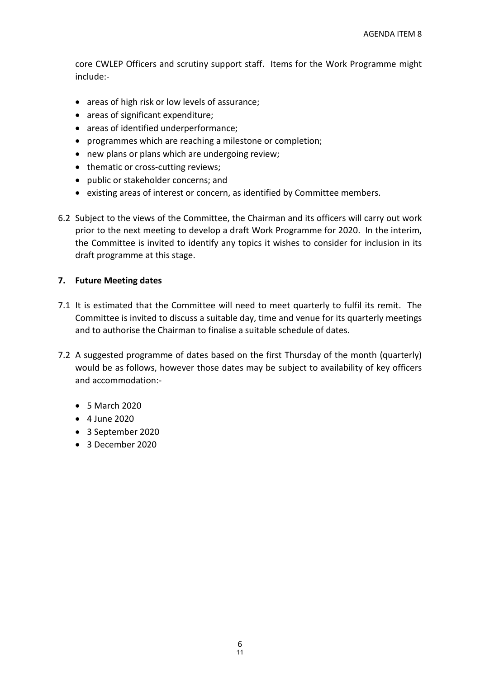core CWLEP Officers and scrutiny support staff. Items for the Work Programme might include:-

- areas of high risk or low levels of assurance;
- areas of significant expenditure;
- areas of identified underperformance;
- programmes which are reaching a milestone or completion;
- new plans or plans which are undergoing review;
- thematic or cross-cutting reviews;
- public or stakeholder concerns; and
- existing areas of interest or concern, as identified by Committee members.
- 6.2 Subject to the views of the Committee, the Chairman and its officers will carry out work prior to the next meeting to develop a draft Work Programme for 2020. In the interim, the Committee is invited to identify any topics it wishes to consider for inclusion in its draft programme at this stage.

#### **7. Future Meeting dates**

- 7.1 It is estimated that the Committee will need to meet quarterly to fulfil its remit. The Committee is invited to discuss a suitable day, time and venue for its quarterly meetings and to authorise the Chairman to finalise a suitable schedule of dates.
- 7.2 A suggested programme of dates based on the first Thursday of the month (quarterly) would be as follows, however those dates may be subject to availability of key officers and accommodation:-
	- 5 March 2020
	- 4 June 2020
	- 3 September 2020
	- 3 December 2020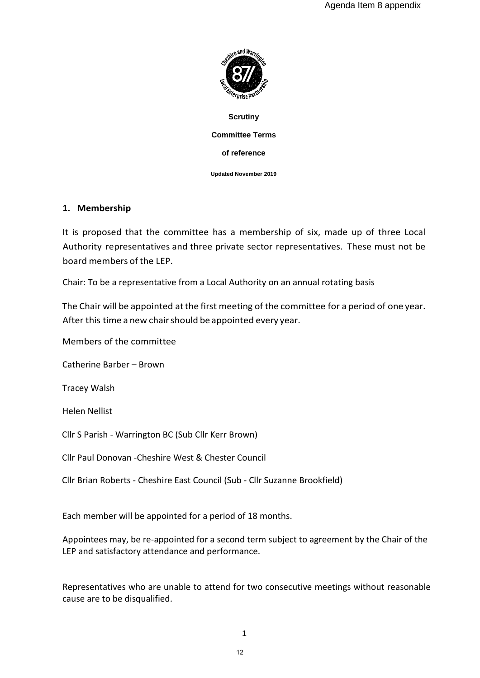

**Scrutiny Committee Terms of reference**

**Updated November 2019**

#### **1. Membership**

It is proposed that the committee has a membership of six, made up of three Local Authority representatives and three private sector representatives. These must not be board members of the LEP.

Chair: To be a representative from a Local Authority on an annual rotating basis

The Chair will be appointed at the first meeting of the committee for a period of one year. After this time a new chair should be appointed every year.

Members of the committee

Catherine Barber – Brown

Tracey Walsh

Helen Nellist

Cllr S Parish - Warrington BC (Sub Cllr Kerr Brown)

Cllr Paul Donovan -Cheshire West & Chester Council

Cllr Brian Roberts - Cheshire East Council (Sub - Cllr Suzanne Brookfield)

Each member will be appointed for a period of 18 months.

Appointees may, be re-appointed for a second term subject to agreement by the Chair of the LEP and satisfactory attendance and performance.

Representatives who are unable to attend for two consecutive meetings without reasonable cause are to be disqualified.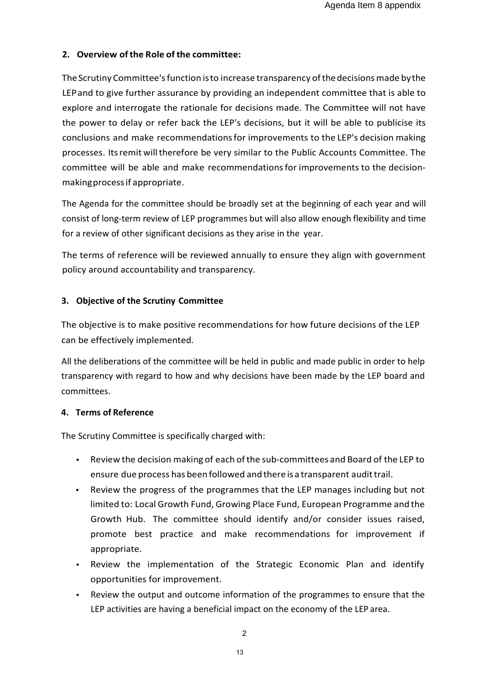# **2. Overview ofthe Role of the committee:**

The Scrutiny Committee's function is to increase transparency of the decisions made by the LEPand to give further assurance by providing an independent committee that is able to explore and interrogate the rationale for decisions made. The Committee will not have the power to delay or refer back the LEP's decisions, but it will be able to publicise its conclusions and make recommendationsfor improvements to the LEP's decision making processes. Itsremit willtherefore be very similar to the Public Accounts Committee. The committee will be able and make recommendationsfor improvements to the decisionmakingprocessif appropriate.

The Agenda for the committee should be broadly set at the beginning of each year and will consist of long-term review of LEP programmes but will also allow enough flexibility and time for a review of other significant decisions as they arise in the year.

The terms of reference will be reviewed annually to ensure they align with government policy around accountability and transparency.

## **3. Objective of the Scrutiny Committee**

The objective is to make positive recommendations for how future decisions of the LEP can be effectively implemented.

All the deliberations of the committee will be held in public and made public in order to help transparency with regard to how and why decisions have been made by the LEP board and committees.

#### **4. Terms of Reference**

The Scrutiny Committee is specifically charged with:

- Review the decision making of each of the sub-committees and Board of the LEP to ensure due process has been followed and there is a transparent audit trail.
- Review the progress of the programmes that the LEP manages including but not limited to: Local Growth Fund, Growing Place Fund, European Programme and the Growth Hub. The committee should identify and/or consider issues raised, promote best practice and make recommendations for improvement if appropriate.
- Review the implementation of the Strategic Economic Plan and identify opportunities for improvement.
- Review the output and outcome information of the programmes to ensure that the LEP activities are having a beneficial impact on the economy of the LEP area.